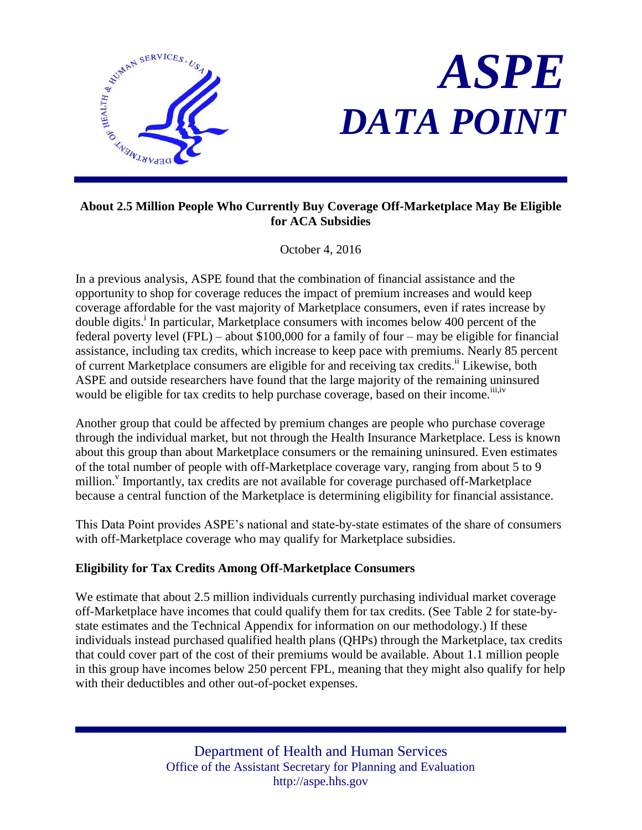



### **About 2.5 Million People Who Currently Buy Coverage Off-Marketplace May Be Eligible for ACA Subsidies**

October 4, 2016

In a previous analysis, ASPE found that the combination of financial assistance and the opportunity to shop for coverage reduces the impact of premium increases and would keep coverage affordable for the vast majority of Marketplace consumers, even if rates increase by double digits.<sup>i</sup> In particular, Marketplace consumers with incomes below 400 percent of the federal poverty level (FPL) – about \$100,000 for a family of four – may be eligible for financial assistance, including tax credits, which increase to keep pace with premiums. Nearly 85 percent of current Marketplace consumers are eligible for and receiving tax credits.<sup>ii</sup> Likewise, both ASPE and outside researchers have found that the large majority of the remaining uninsured would be eligible for tax credits to help purchase coverage, based on their income.<sup>iii,iv</sup>

Another group that could be affected by premium changes are people who purchase coverage through the individual market, but not through the Health Insurance Marketplace. Less is known about this group than about Marketplace consumers or the remaining uninsured. Even estimates of the total number of people with off-Marketplace coverage vary, ranging from about 5 to 9 million.<sup>V</sup> Importantly, tax credits are not available for coverage purchased off-Marketplace because a central function of the Marketplace is determining eligibility for financial assistance.

This Data Point provides ASPE's national and state-by-state estimates of the share of consumers with off-Marketplace coverage who may qualify for Marketplace subsidies.

## **Eligibility for Tax Credits Among Off-Marketplace Consumers**

We estimate that about 2.5 million individuals currently purchasing individual market coverage off-Marketplace have incomes that could qualify them for tax credits. (See Table 2 for state-bystate estimates and the Technical Appendix for information on our methodology.) If these individuals instead purchased qualified health plans (QHPs) through the Marketplace, tax credits that could cover part of the cost of their premiums would be available. About 1.1 million people in this group have incomes below 250 percent FPL, meaning that they might also qualify for help with their deductibles and other out-of-pocket expenses.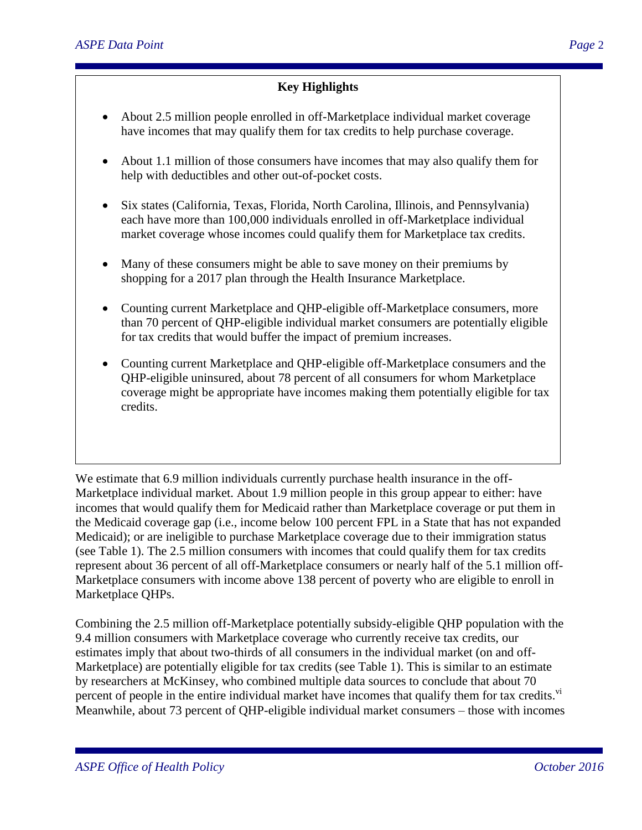# **Key Highlights**

- About 2.5 million people enrolled in off-Marketplace individual market coverage have incomes that may qualify them for tax credits to help purchase coverage.
- About 1.1 million of those consumers have incomes that may also qualify them for help with deductibles and other out-of-pocket costs.
- Six states (California, Texas, Florida, North Carolina, Illinois, and Pennsylvania) each have more than 100,000 individuals enrolled in off-Marketplace individual market coverage whose incomes could qualify them for Marketplace tax credits.
- Many of these consumers might be able to save money on their premiums by shopping for a 2017 plan through the Health Insurance Marketplace.
- Counting current Marketplace and QHP-eligible off-Marketplace consumers, more than 70 percent of QHP-eligible individual market consumers are potentially eligible for tax credits that would buffer the impact of premium increases.
- Counting current Marketplace and QHP-eligible off-Marketplace consumers and the QHP-eligible uninsured, about 78 percent of all consumers for whom Marketplace coverage might be appropriate have incomes making them potentially eligible for tax credits.

We estimate that 6.9 million individuals currently purchase health insurance in the off-Marketplace individual market. About 1.9 million people in this group appear to either: have incomes that would qualify them for Medicaid rather than Marketplace coverage or put them in the Medicaid coverage gap (i.e., income below 100 percent FPL in a State that has not expanded Medicaid); or are ineligible to purchase Marketplace coverage due to their immigration status (see Table 1). The 2.5 million consumers with incomes that could qualify them for tax credits represent about 36 percent of all off-Marketplace consumers or nearly half of the 5.1 million off-Marketplace consumers with income above 138 percent of poverty who are eligible to enroll in Marketplace QHPs.

Combining the 2.5 million off-Marketplace potentially subsidy-eligible QHP population with the 9.4 million consumers with Marketplace coverage who currently receive tax credits, our estimates imply that about two-thirds of all consumers in the individual market (on and off-Marketplace) are potentially eligible for tax credits (see Table 1). This is similar to an estimate by researchers at McKinsey, who combined multiple data sources to conclude that about 70 percent of people in the entire individual market have incomes that qualify them for tax credits.<sup>vi</sup> Meanwhile, about 73 percent of QHP-eligible individual market consumers – those with incomes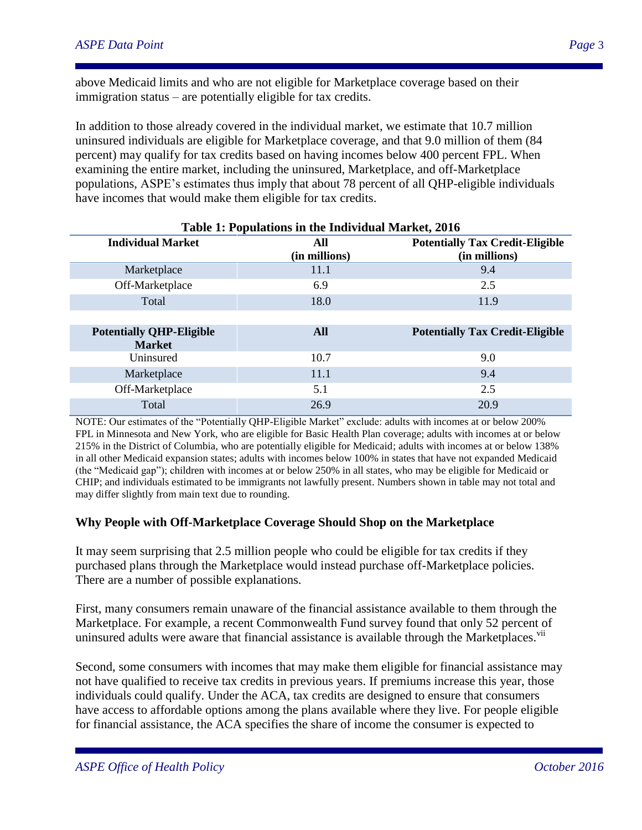above Medicaid limits and who are not eligible for Marketplace coverage based on their immigration status – are potentially eligible for tax credits.

In addition to those already covered in the individual market, we estimate that 10.7 million uninsured individuals are eligible for Marketplace coverage, and that 9.0 million of them (84 percent) may qualify for tax credits based on having incomes below 400 percent FPL. When examining the entire market, including the uninsured, Marketplace, and off-Marketplace populations, ASPE's estimates thus imply that about 78 percent of all QHP-eligible individuals have incomes that would make them eligible for tax credits.

| Table 1: Populations in the Individual Market, 2016 |               |                                        |
|-----------------------------------------------------|---------------|----------------------------------------|
| <b>Individual Market</b>                            | All           | <b>Potentially Tax Credit-Eligible</b> |
|                                                     | (in millions) | (in millions)                          |
| Marketplace                                         | 11.1          | 9.4                                    |
| Off-Marketplace                                     | 6.9           | 2.5                                    |
| Total                                               | 18.0          | 11.9                                   |
|                                                     |               |                                        |
| <b>Potentially QHP-Eligible</b>                     | All           | <b>Potentially Tax Credit-Eligible</b> |
| <b>Market</b>                                       |               |                                        |
| Uninsured                                           | 10.7          | 9.0                                    |
| Marketplace                                         | 11.1          | 9.4                                    |
| Off-Marketplace                                     | 5.1           | 2.5                                    |
| Total                                               | 26.9          | 20.9                                   |

NOTE: Our estimates of the "Potentially QHP-Eligible Market" exclude: adults with incomes at or below 200% FPL in Minnesota and New York, who are eligible for Basic Health Plan coverage; adults with incomes at or below 215% in the District of Columbia, who are potentially eligible for Medicaid; adults with incomes at or below 138% in all other Medicaid expansion states; adults with incomes below 100% in states that have not expanded Medicaid (the "Medicaid gap"); children with incomes at or below 250% in all states, who may be eligible for Medicaid or CHIP; and individuals estimated to be immigrants not lawfully present. Numbers shown in table may not total and may differ slightly from main text due to rounding.

#### **Why People with Off-Marketplace Coverage Should Shop on the Marketplace**

It may seem surprising that 2.5 million people who could be eligible for tax credits if they purchased plans through the Marketplace would instead purchase off-Marketplace policies. There are a number of possible explanations.

First, many consumers remain unaware of the financial assistance available to them through the Marketplace. For example, a recent Commonwealth Fund survey found that only 52 percent of uninsured adults were aware that financial assistance is available through the Marketplaces. vii

Second, some consumers with incomes that may make them eligible for financial assistance may not have qualified to receive tax credits in previous years. If premiums increase this year, those individuals could qualify. Under the ACA, tax credits are designed to ensure that consumers have access to affordable options among the plans available where they live. For people eligible for financial assistance, the ACA specifies the share of income the consumer is expected to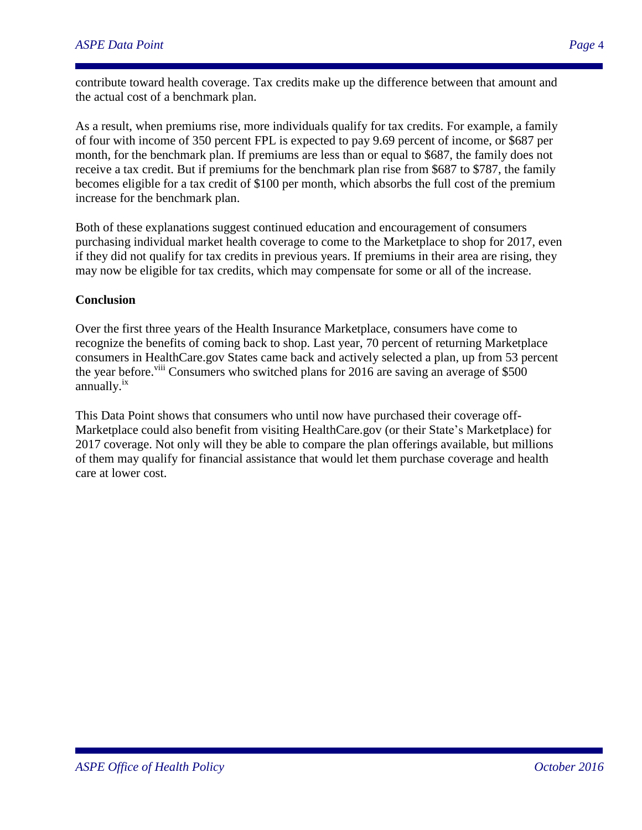contribute toward health coverage. Tax credits make up the difference between that amount and the actual cost of a benchmark plan.

As a result, when premiums rise, more individuals qualify for tax credits. For example, a family of four with income of 350 percent FPL is expected to pay 9.69 percent of income, or \$687 per month, for the benchmark plan. If premiums are less than or equal to \$687, the family does not receive a tax credit. But if premiums for the benchmark plan rise from \$687 to \$787, the family becomes eligible for a tax credit of \$100 per month, which absorbs the full cost of the premium increase for the benchmark plan.

Both of these explanations suggest continued education and encouragement of consumers purchasing individual market health coverage to come to the Marketplace to shop for 2017, even if they did not qualify for tax credits in previous years. If premiums in their area are rising, they may now be eligible for tax credits, which may compensate for some or all of the increase.

#### **Conclusion**

Over the first three years of the Health Insurance Marketplace, consumers have come to recognize the benefits of coming back to shop. Last year, 70 percent of returning Marketplace consumers in HealthCare.gov States came back and actively selected a plan, up from 53 percent the year before.<sup>viii</sup> Consumers who switched plans for 2016 are saving an average of \$500 annually.<sup>ix</sup>

This Data Point shows that consumers who until now have purchased their coverage off-Marketplace could also benefit from visiting HealthCare.gov (or their State's Marketplace) for 2017 coverage. Not only will they be able to compare the plan offerings available, but millions of them may qualify for financial assistance that would let them purchase coverage and health care at lower cost.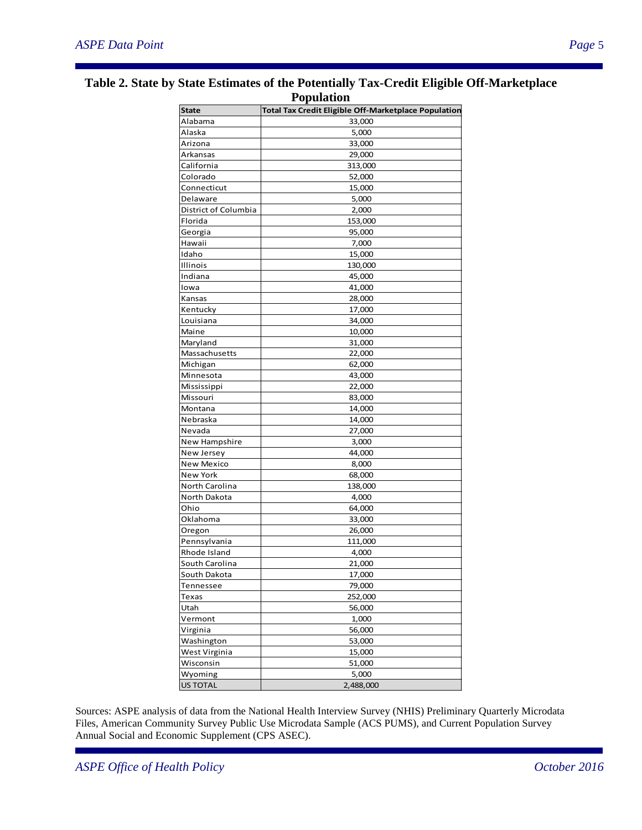| ropulation           |                                                             |  |
|----------------------|-------------------------------------------------------------|--|
| <b>State</b>         | <b>Total Tax Credit Eligible Off-Marketplace Population</b> |  |
| Alabama              | 33,000                                                      |  |
| Alaska               | 5,000                                                       |  |
| Arizona              | 33,000                                                      |  |
| Arkansas             | 29,000                                                      |  |
| California           | 313,000                                                     |  |
| Colorado             | 52,000                                                      |  |
| Connecticut          | 15,000                                                      |  |
| Delaware             | 5,000                                                       |  |
| District of Columbia | 2,000                                                       |  |
| Florida              | 153,000                                                     |  |
| Georgia              | 95,000                                                      |  |
| Hawaii               | 7,000                                                       |  |
| Idaho                | 15,000                                                      |  |
| Illinois             | 130,000                                                     |  |
| Indiana              | 45,000                                                      |  |
| Iowa                 | 41,000                                                      |  |
| Kansas               | 28,000                                                      |  |
| Kentucky             | 17,000                                                      |  |
| Louisiana            | 34,000                                                      |  |
| Maine                | 10,000                                                      |  |
| Maryland             | 31,000                                                      |  |
|                      |                                                             |  |
| Massachusetts        | 22,000                                                      |  |
| Michigan             | 62,000                                                      |  |
| Minnesota            | 43,000                                                      |  |
| Mississippi          | 22,000                                                      |  |
| Missouri             | 83,000                                                      |  |
| Montana              | 14,000                                                      |  |
| Nebraska             | 14,000                                                      |  |
| Nevada               | 27,000                                                      |  |
| New Hampshire        | 3,000                                                       |  |
| New Jersey           | 44,000                                                      |  |
| New Mexico           | 8,000                                                       |  |
| New York             | 68,000                                                      |  |
| North Carolina       | 138,000                                                     |  |
| North Dakota         | 4,000                                                       |  |
| Ohio                 | 64,000                                                      |  |
| Oklahoma             | 33,000                                                      |  |
| Oregon               | 26,000                                                      |  |
| Pennsylvania         | 111,000                                                     |  |
| Rhode Island         | 4,000                                                       |  |
| South Carolina       | 21,000                                                      |  |
| South Dakota         | 17,000                                                      |  |
| Tennessee            | 79,000                                                      |  |
| Texas                | 252,000                                                     |  |
| Utah                 | 56,000                                                      |  |
| Vermont              | 1,000                                                       |  |
| Virginia             | 56,000                                                      |  |
| Washington           | 53,000                                                      |  |
| West Virginia        | 15,000                                                      |  |
| Wisconsin            | 51,000                                                      |  |
| Wyoming              | 5,000                                                       |  |
| <b>US TOTAL</b>      | 2,488,000                                                   |  |

Sources: ASPE analysis of data from the National Health Interview Survey (NHIS) Preliminary Quarterly Microdata Files, American Community Survey Public Use Microdata Sample (ACS PUMS), and Current Population Survey Annual Social and Economic Supplement (CPS ASEC).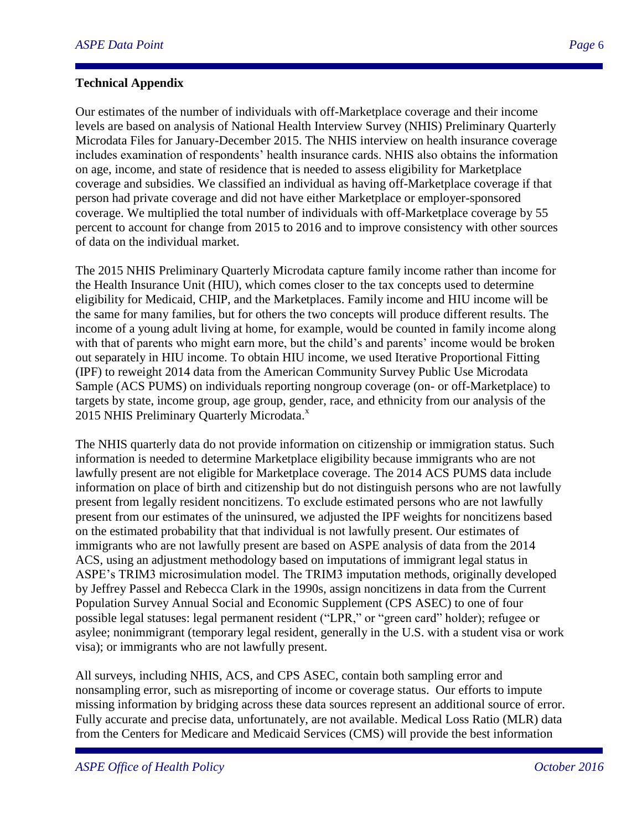#### **Technical Appendix**

Our estimates of the number of individuals with off-Marketplace coverage and their income levels are based on analysis of National Health Interview Survey (NHIS) Preliminary Quarterly Microdata Files for January-December 2015. The NHIS interview on health insurance coverage includes examination of respondents' health insurance cards. NHIS also obtains the information on age, income, and state of residence that is needed to assess eligibility for Marketplace coverage and subsidies. We classified an individual as having off-Marketplace coverage if that person had private coverage and did not have either Marketplace or employer-sponsored coverage. We multiplied the total number of individuals with off-Marketplace coverage by 55 percent to account for change from 2015 to 2016 and to improve consistency with other sources of data on the individual market.

The 2015 NHIS Preliminary Quarterly Microdata capture family income rather than income for the Health Insurance Unit (HIU), which comes closer to the tax concepts used to determine eligibility for Medicaid, CHIP, and the Marketplaces. Family income and HIU income will be the same for many families, but for others the two concepts will produce different results. The income of a young adult living at home, for example, would be counted in family income along with that of parents who might earn more, but the child's and parents' income would be broken out separately in HIU income. To obtain HIU income, we used Iterative Proportional Fitting (IPF) to reweight 2014 data from the American Community Survey Public Use Microdata Sample (ACS PUMS) on individuals reporting nongroup coverage (on- or off-Marketplace) to targets by state, income group, age group, gender, race, and ethnicity from our analysis of the 2015 NHIS Preliminary Quarterly Microdata.<sup>x</sup>

The NHIS quarterly data do not provide information on citizenship or immigration status. Such information is needed to determine Marketplace eligibility because immigrants who are not lawfully present are not eligible for Marketplace coverage. The 2014 ACS PUMS data include information on place of birth and citizenship but do not distinguish persons who are not lawfully present from legally resident noncitizens. To exclude estimated persons who are not lawfully present from our estimates of the uninsured, we adjusted the IPF weights for noncitizens based on the estimated probability that that individual is not lawfully present. Our estimates of immigrants who are not lawfully present are based on ASPE analysis of data from the 2014 ACS, using an adjustment methodology based on imputations of immigrant legal status in ASPE's TRIM3 microsimulation model. The TRIM3 imputation methods, originally developed by Jeffrey Passel and Rebecca Clark in the 1990s, assign noncitizens in data from the Current Population Survey Annual Social and Economic Supplement (CPS ASEC) to one of four possible legal statuses: legal permanent resident ("LPR," or "green card" holder); refugee or asylee; nonimmigrant (temporary legal resident, generally in the U.S. with a student visa or work visa); or immigrants who are not lawfully present.

All surveys, including NHIS, ACS, and CPS ASEC, contain both sampling error and nonsampling error, such as misreporting of income or coverage status. Our efforts to impute missing information by bridging across these data sources represent an additional source of error. Fully accurate and precise data, unfortunately, are not available. Medical Loss Ratio (MLR) data from the Centers for Medicare and Medicaid Services (CMS) will provide the best information